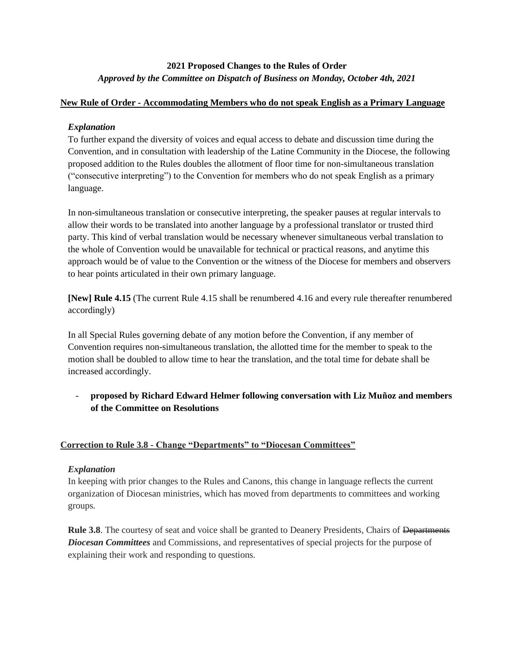# **2021 Proposed Changes to the Rules of Order** *Approved by the Committee on Dispatch of Business on Monday, October 4th, 2021*

#### **New Rule of Order - Accommodating Members who do not speak English as a Primary Language**

## *Explanation*

To further expand the diversity of voices and equal access to debate and discussion time during the Convention, and in consultation with leadership of the Latine Community in the Diocese, the following proposed addition to the Rules doubles the allotment of floor time for non-simultaneous translation ("consecutive interpreting") to the Convention for members who do not speak English as a primary language.

In non-simultaneous translation or consecutive interpreting, the speaker pauses at regular intervals to allow their words to be translated into another language by a professional translator or trusted third party. This kind of verbal translation would be necessary whenever simultaneous verbal translation to the whole of Convention would be unavailable for technical or practical reasons, and anytime this approach would be of value to the Convention or the witness of the Diocese for members and observers to hear points articulated in their own primary language.

**[New] Rule 4.15** (The current Rule 4.15 shall be renumbered 4.16 and every rule thereafter renumbered accordingly)

In all Special Rules governing debate of any motion before the Convention, if any member of Convention requires non-simultaneous translation, the allotted time for the member to speak to the motion shall be doubled to allow time to hear the translation, and the total time for debate shall be increased accordingly.

- **proposed by Richard Edward Helmer following conversation with Liz Muñoz and members of the Committee on Resolutions**

## **Correction to Rule 3.8 - Change "Departments" to "Diocesan Committees"**

## *Explanation*

In keeping with prior changes to the Rules and Canons, this change in language reflects the current organization of Diocesan ministries, which has moved from departments to committees and working groups.

**Rule 3.8**. The courtesy of seat and voice shall be granted to Deanery Presidents, Chairs of <del>Departments</del> *Diocesan Committees* and Commissions, and representatives of special projects for the purpose of explaining their work and responding to questions.